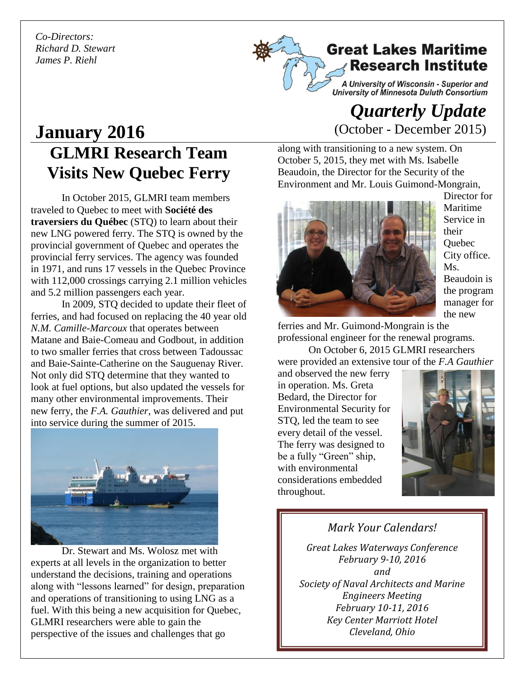*Co-Directors: Richard D. Stewart James P. Riehl*



A University of Wisconsin - Superior and<br>University of Minnesota Duluth Consortium

# **GLMRI Research Team Visits New Quebec Ferry January 2016**

In October 2015, GLMRI team members traveled to Quebec to meet with **Société des traversiers du Québec** (STQ) to learn about their new LNG powered ferry. The STQ is owned by the provincial government of Quebec and operates the provincial ferry services. The agency was founded in 1971, and runs 17 vessels in the Quebec Province with 112,000 crossings carrying 2.1 million vehicles and 5.2 million passengers each year.

In 2009, STQ decided to update their fleet of ferries, and had focused on replacing the 40 year old *N.M. Camille-Marcoux* that operates between Matane and Baie-Comeau and Godbout, in addition to two smaller ferries that cross between Tadoussac and Baie-Sainte-Catherine on the Sauguenay River. Not only did STQ determine that they wanted to look at fuel options, but also updated the vessels for many other environmental improvements. Their new ferry, the *F.A. Gauthier*, was delivered and put into service during the summer of 2015.



Dr. Stewart and Ms. Wolosz met with experts at all levels in the organization to better understand the decisions, training and operations along with "lessons learned" for design, preparation and operations of transitioning to using LNG as a fuel. With this being a new acquisition for Quebec, GLMRI researchers were able to gain the perspective of the issues and challenges that go

## *Quarterly Update*  (October - December 2015)

along with transitioning to a new system. On October 5, 2015, they met with Ms. Isabelle Beaudoin, the Director for the Security of the Environment and Mr. Louis Guimond-Mongrain,



Director for Maritime Service in their **Ouebec** City office. Ms. Beaudoin is the program manager for the new

ferries and Mr. Guimond-Mongrain is the professional engineer for the renewal programs.

On October 6, 2015 GLMRI researchers were provided an extensive tour of the *F.A Gauthier*

and observed the new ferry in operation. Ms. Greta Bedard, the Director for Environmental Security for STQ, led the team to see every detail of the vessel. The ferry was designed to be a fully "Green" ship, with environmental considerations embedded throughout.



*Mark Your Calendars! Great Lakes Waterways Conference February 9-10, 2016 and Society of Naval Architects and Marine Engineers Meeting February 10-11, 2016 Key Center Marriott Hotel Cleveland, Ohio*